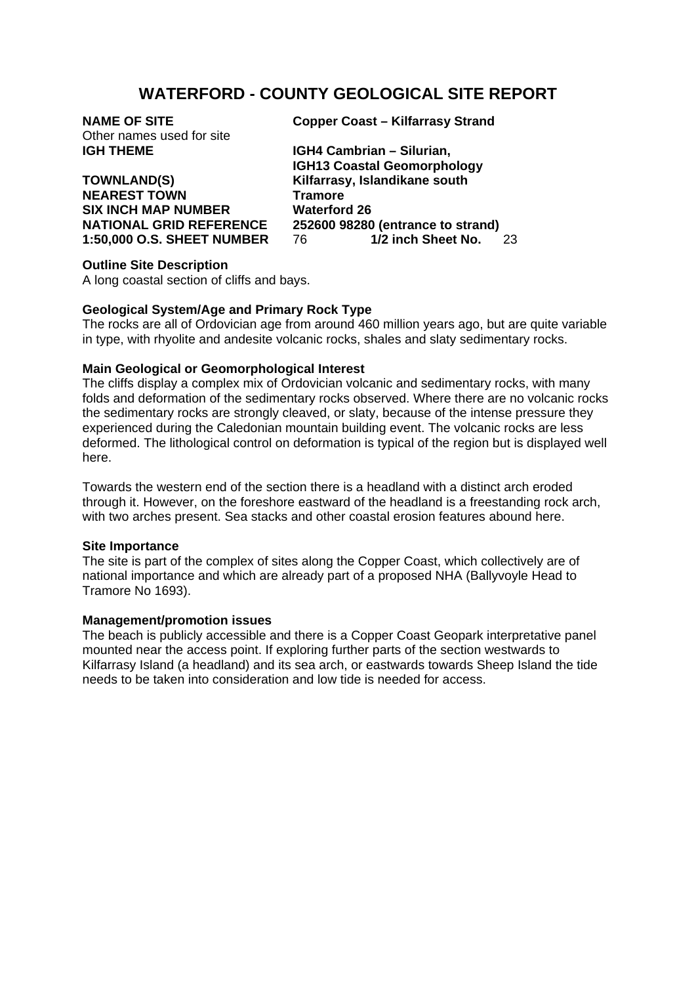# **WATERFORD - COUNTY GEOLOGICAL SITE REPORT**

| <b>NAME OF SITE</b>       |
|---------------------------|
| Other names used for site |
| <b>IGH THEME</b>          |

**TOWNLAND(S) Kilfarrasy, Islandikane south NEAREST TOWN Tramore SIX INCH MAP NUMBER Waterford 26** 

**Copper Coast – Kilfarrasy Strand** 

**IGH4 Cambrian – Silurian, IGH13 Coastal Geomorphology NATIONAL GRID REFERENCE** 252600 98280 (entrance to strand)<br>1.50,000 O.S. SHEFT NUMBER 76 1/2 inch Sheet No. **1:50,000 O.S. SHEET NUMBER** 76 **1/2 inch Sheet No.** 23

### **Outline Site Description**

A long coastal section of cliffs and bays.

## **Geological System/Age and Primary Rock Type**

The rocks are all of Ordovician age from around 460 million years ago, but are quite variable in type, with rhyolite and andesite volcanic rocks, shales and slaty sedimentary rocks.

### **Main Geological or Geomorphological Interest**

The cliffs display a complex mix of Ordovician volcanic and sedimentary rocks, with many folds and deformation of the sedimentary rocks observed. Where there are no volcanic rocks the sedimentary rocks are strongly cleaved, or slaty, because of the intense pressure they experienced during the Caledonian mountain building event. The volcanic rocks are less deformed. The lithological control on deformation is typical of the region but is displayed well here.

Towards the western end of the section there is a headland with a distinct arch eroded through it. However, on the foreshore eastward of the headland is a freestanding rock arch, with two arches present. Sea stacks and other coastal erosion features abound here.

#### **Site Importance**

The site is part of the complex of sites along the Copper Coast, which collectively are of national importance and which are already part of a proposed NHA (Ballyvoyle Head to Tramore No 1693).

#### **Management/promotion issues**

The beach is publicly accessible and there is a Copper Coast Geopark interpretative panel mounted near the access point. If exploring further parts of the section westwards to Kilfarrasy Island (a headland) and its sea arch, or eastwards towards Sheep Island the tide needs to be taken into consideration and low tide is needed for access.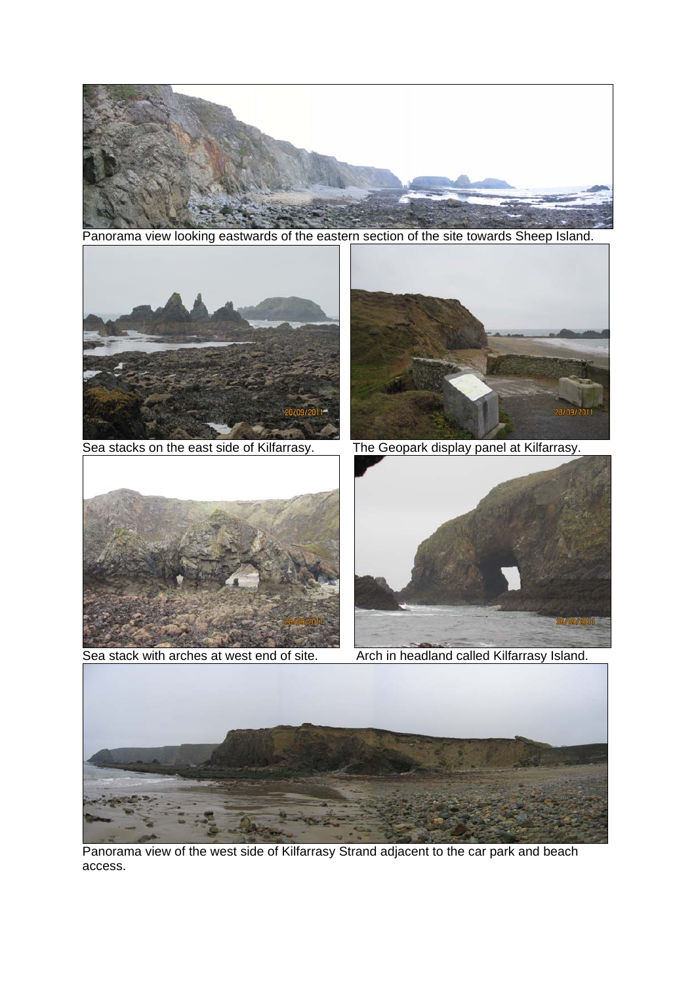

Panorama view looking eastwards of the eastern section of the site towards Sheep Island.



Panorama view of the west side of Kilfarrasy Strand adjacent to the car park and beach access.